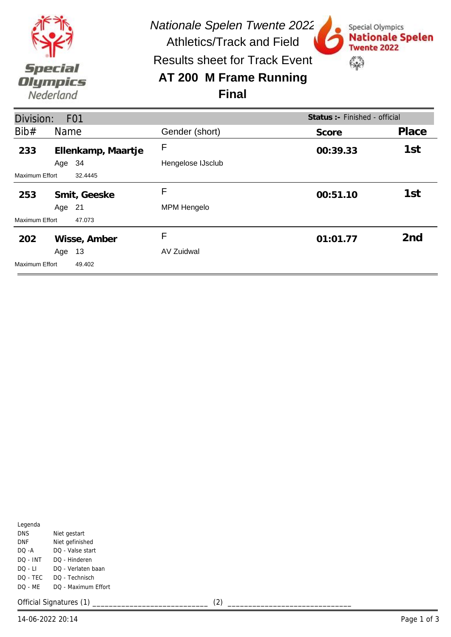

*Nationale Spelen Twente 2022* Athletics/Track and Field

Special Olympics

**Twente 2022** 

锦

**Nationale Spelen** 

Results sheet for Track Event

## **AT 200 M Frame Running Final**



| Legenda    |                     |
|------------|---------------------|
| <b>DNS</b> | Niet gestart        |
| DNF        | Niet gefinished     |
| DO -A      | DO - Valse start    |
| DO - INT   | DO - Hinderen       |
| DO - LI    | DO - Verlaten baan  |
| DO - TEC   | DO - Technisch      |
| DO - ME    | DO - Maximum Effort |
|            |                     |

Official Signatures (1) \_\_\_\_\_\_\_\_\_\_\_\_\_\_\_\_\_\_\_\_\_\_\_\_\_\_\_\_ (2) \_\_\_\_\_\_\_\_\_\_\_\_\_\_\_\_\_\_\_\_\_\_\_\_\_\_\_\_\_\_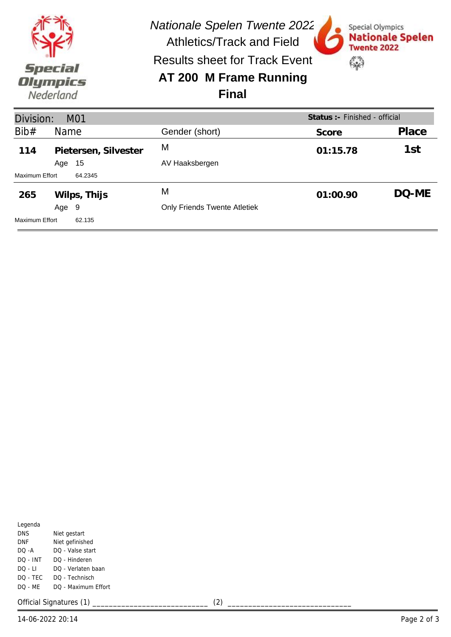

*Nationale Spelen Twente 2022*

Special Olympics

**Twente 2022** 

52

**Nationale Spelen** 

Athletics/Track and Field Results sheet for Track Event

## **AT 200 M Frame Running Final**



| Legenda    |                     |
|------------|---------------------|
| <b>DNS</b> | Niet gestart        |
| DNF        | Niet gefinished     |
| DO -A      | DO - Valse start    |
| DO - INT   | DO - Hinderen       |
| $DO - LI$  | DO - Verlaten baan  |
| DO - TEC   | DO - Technisch      |
| DQ - ME    | DO - Maximum Effort |
|            |                     |

Official Signatures (1) \_\_\_\_\_\_\_\_\_\_\_\_\_\_\_\_\_\_\_\_\_\_\_\_\_\_\_\_ (2) \_\_\_\_\_\_\_\_\_\_\_\_\_\_\_\_\_\_\_\_\_\_\_\_\_\_\_\_\_\_